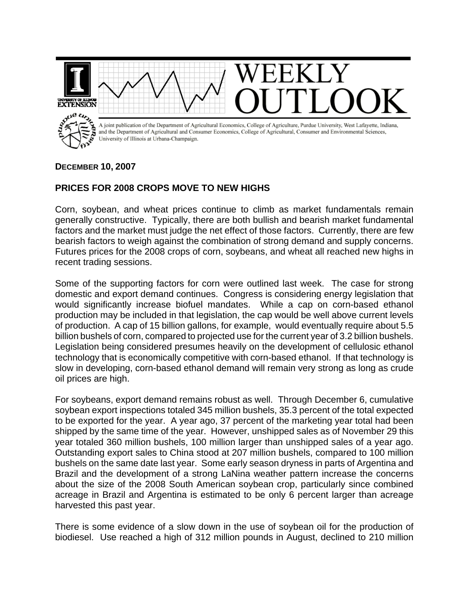

## **DECEMBER 10, 2007**

## **PRICES FOR 2008 CROPS MOVE TO NEW HIGHS**

Corn, soybean, and wheat prices continue to climb as market fundamentals remain generally constructive. Typically, there are both bullish and bearish market fundamental factors and the market must judge the net effect of those factors. Currently, there are few bearish factors to weigh against the combination of strong demand and supply concerns. Futures prices for the 2008 crops of corn, soybeans, and wheat all reached new highs in recent trading sessions.

Some of the supporting factors for corn were outlined last week. The case for strong domestic and export demand continues. Congress is considering energy legislation that would significantly increase biofuel mandates. While a cap on corn-based ethanol production may be included in that legislation, the cap would be well above current levels of production. A cap of 15 billion gallons, for example, would eventually require about 5.5 billion bushels of corn, compared to projected use for the current year of 3.2 billion bushels. Legislation being considered presumes heavily on the development of cellulosic ethanol technology that is economically competitive with corn-based ethanol. If that technology is slow in developing, corn-based ethanol demand will remain very strong as long as crude oil prices are high.

For soybeans, export demand remains robust as well. Through December 6, cumulative soybean export inspections totaled 345 million bushels, 35.3 percent of the total expected to be exported for the year. A year ago, 37 percent of the marketing year total had been shipped by the same time of the year. However, unshipped sales as of November 29 this year totaled 360 million bushels, 100 million larger than unshipped sales of a year ago. Outstanding export sales to China stood at 207 million bushels, compared to 100 million bushels on the same date last year. Some early season dryness in parts of Argentina and Brazil and the development of a strong LaNina weather pattern increase the concerns about the size of the 2008 South American soybean crop, particularly since combined acreage in Brazil and Argentina is estimated to be only 6 percent larger than acreage harvested this past year.

There is some evidence of a slow down in the use of soybean oil for the production of biodiesel. Use reached a high of 312 million pounds in August, declined to 210 million